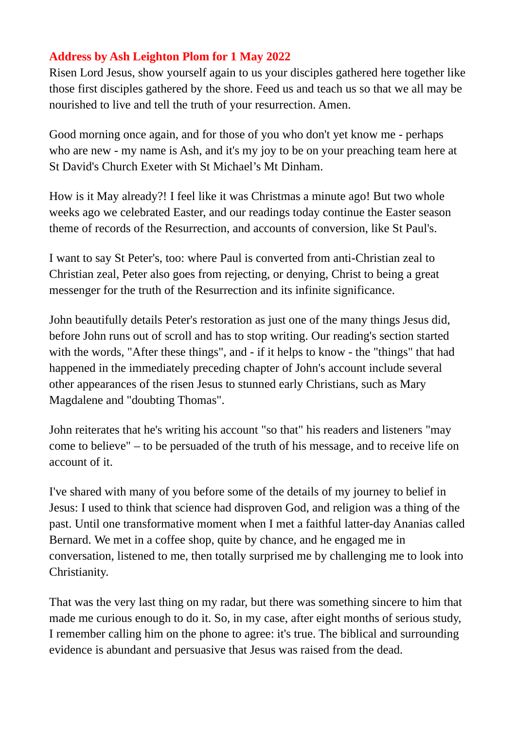## **Address by Ash Leighton Plom for 1 May 2022**

Risen Lord Jesus, show yourself again to us your disciples gathered here together like those first disciples gathered by the shore. Feed us and teach us so that we all may be nourished to live and tell the truth of your resurrection. Amen.

Good morning once again, and for those of you who don't yet know me - perhaps who are new - my name is Ash, and it's my joy to be on your preaching team here at St David's Church Exeter with St Michael's Mt Dinham.

How is it May already?! I feel like it was Christmas a minute ago! But two whole weeks ago we celebrated Easter, and our readings today continue the Easter season theme of records of the Resurrection, and accounts of conversion, like St Paul's.

I want to say St Peter's, too: where Paul is converted from anti-Christian zeal to Christian zeal, Peter also goes from rejecting, or denying, Christ to being a great messenger for the truth of the Resurrection and its infinite significance.

John beautifully details Peter's restoration as just one of the many things Jesus did, before John runs out of scroll and has to stop writing. Our reading's section started with the words, "After these things", and - if it helps to know - the "things" that had happened in the immediately preceding chapter of John's account include several other appearances of the risen Jesus to stunned early Christians, such as Mary Magdalene and "doubting Thomas".

John reiterates that he's writing his account "so that" his readers and listeners "may come to believe" – to be persuaded of the truth of his message, and to receive life on account of it.

I've shared with many of you before some of the details of my journey to belief in Jesus: I used to think that science had disproven God, and religion was a thing of the past. Until one transformative moment when I met a faithful latter-day Ananias called Bernard. We met in a coffee shop, quite by chance, and he engaged me in conversation, listened to me, then totally surprised me by challenging me to look into Christianity.

That was the very last thing on my radar, but there was something sincere to him that made me curious enough to do it. So, in my case, after eight months of serious study, I remember calling him on the phone to agree: it's true. The biblical and surrounding evidence is abundant and persuasive that Jesus was raised from the dead.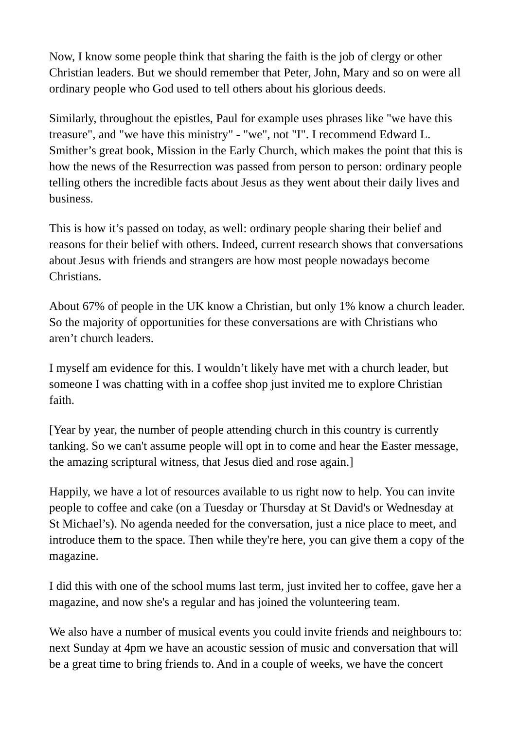Now, I know some people think that sharing the faith is the job of clergy or other Christian leaders. But we should remember that Peter, John, Mary and so on were all ordinary people who God used to tell others about his glorious deeds.

Similarly, throughout the epistles, Paul for example uses phrases like "we have this treasure", and "we have this ministry" - "we", not "I". I recommend Edward L. Smither's great book, Mission in the Early Church, which makes the point that this is how the news of the Resurrection was passed from person to person: ordinary people telling others the incredible facts about Jesus as they went about their daily lives and business.

This is how it's passed on today, as well: ordinary people sharing their belief and reasons for their belief with others. Indeed, current research shows that conversations about Jesus with friends and strangers are how most people nowadays become Christians.

About 67% of people in the UK know a Christian, but only 1% know a church leader. So the majority of opportunities for these conversations are with Christians who aren't church leaders.

I myself am evidence for this. I wouldn't likely have met with a church leader, but someone I was chatting with in a coffee shop just invited me to explore Christian faith.

[Year by year, the number of people attending church in this country is currently tanking. So we can't assume people will opt in to come and hear the Easter message, the amazing scriptural witness, that Jesus died and rose again.]

Happily, we have a lot of resources available to us right now to help. You can invite people to coffee and cake (on a Tuesday or Thursday at St David's or Wednesday at St Michael's). No agenda needed for the conversation, just a nice place to meet, and introduce them to the space. Then while they're here, you can give them a copy of the magazine.

I did this with one of the school mums last term, just invited her to coffee, gave her a magazine, and now she's a regular and has joined the volunteering team.

We also have a number of musical events you could invite friends and neighbours to: next Sunday at 4pm we have an acoustic session of music and conversation that will be a great time to bring friends to. And in a couple of weeks, we have the concert